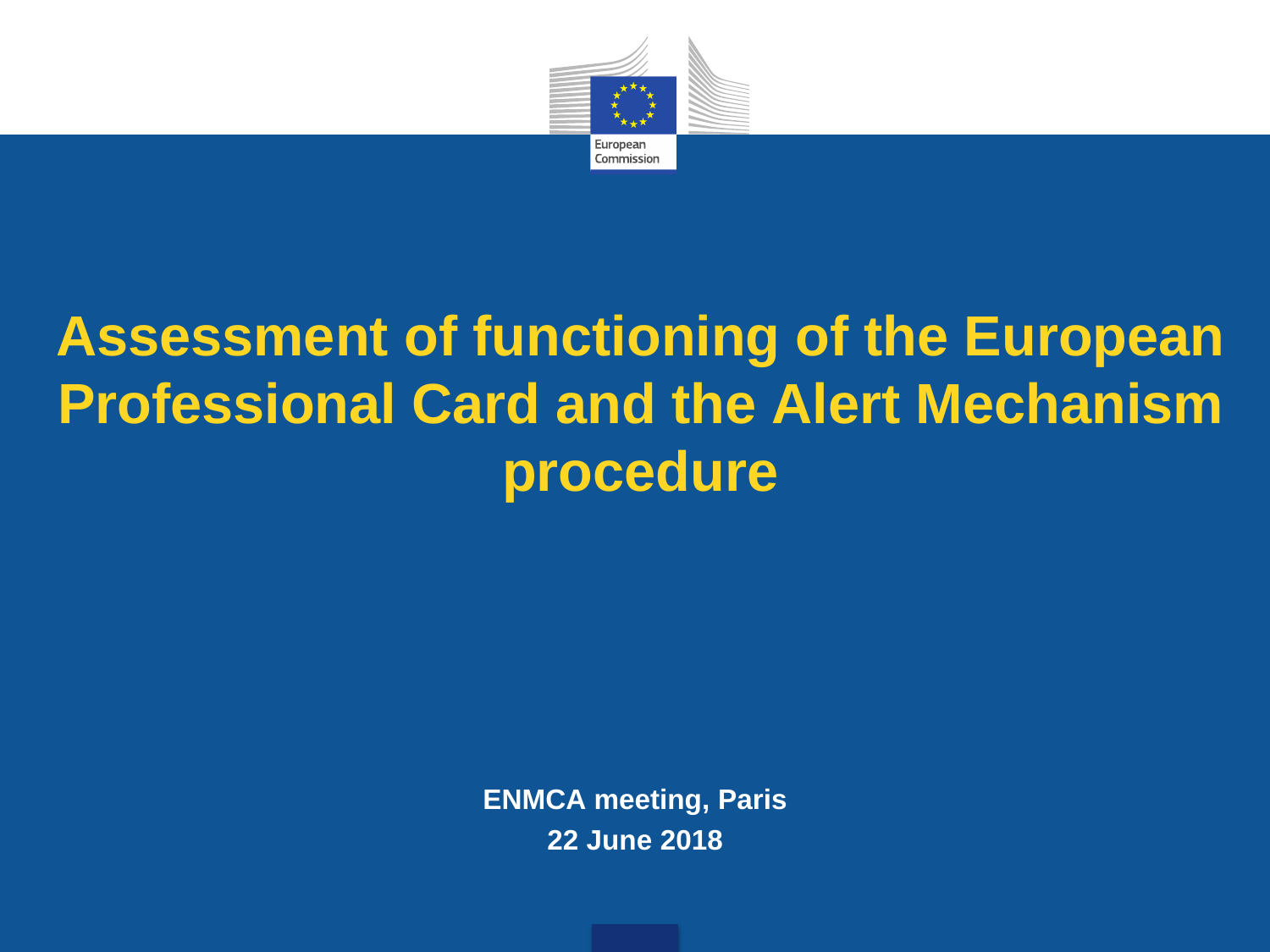

#### **Assessment of functioning of the European Professional Card and the Alert Mechanism procedure**

**ENMCA meeting, Paris 22 June 2018**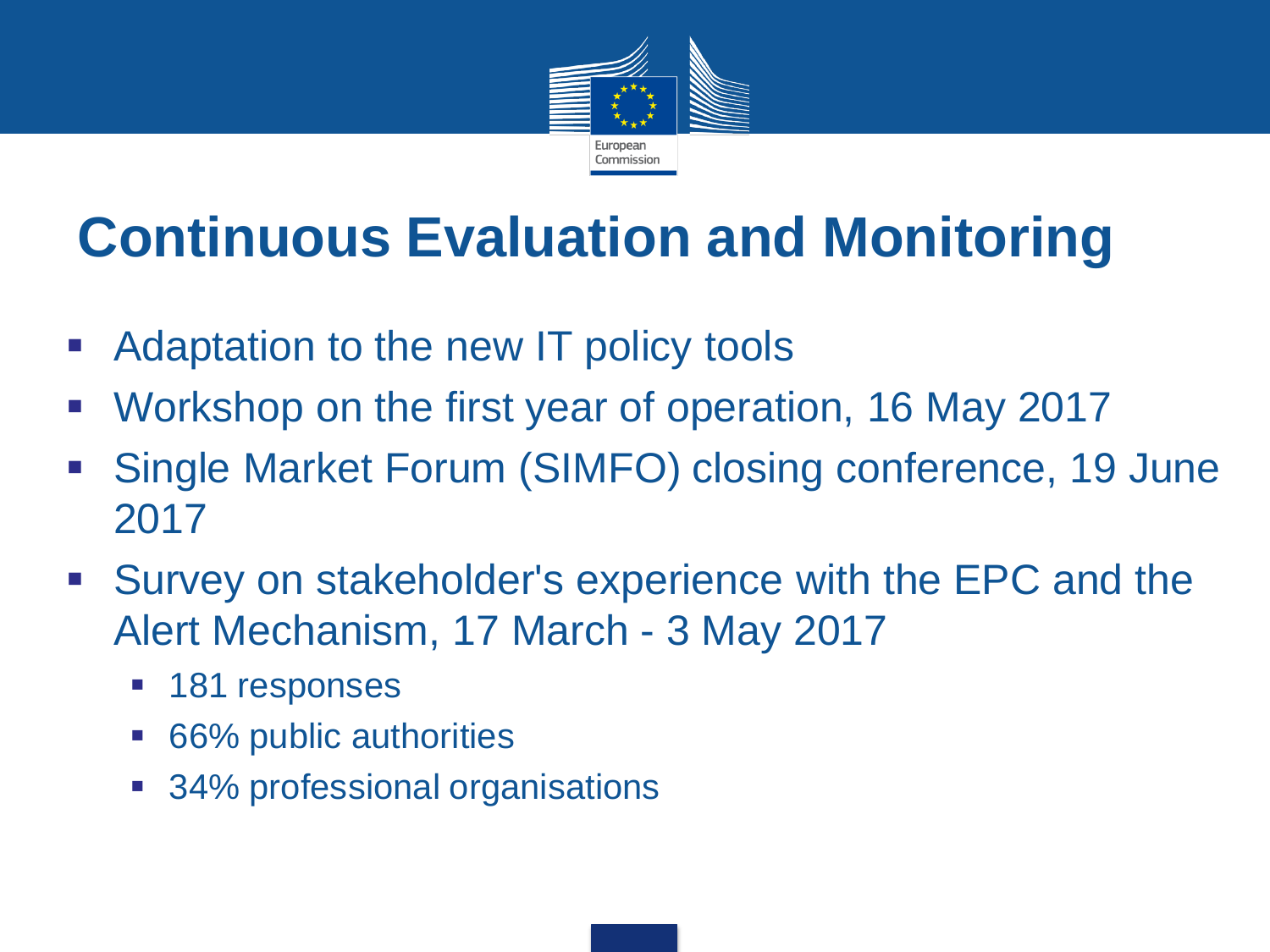

#### **Continuous Evaluation and Monitoring**

- Adaptation to the new IT policy tools
- Workshop on the first year of operation, 16 May 2017
- Single Market Forum (SIMFO) closing conference, 19 June 2017
- Survey on stakeholder's experience with the EPC and the Alert Mechanism, 17 March - 3 May 2017
	- **181 responses**
	- 66% public authorities
	- 34% professional organisations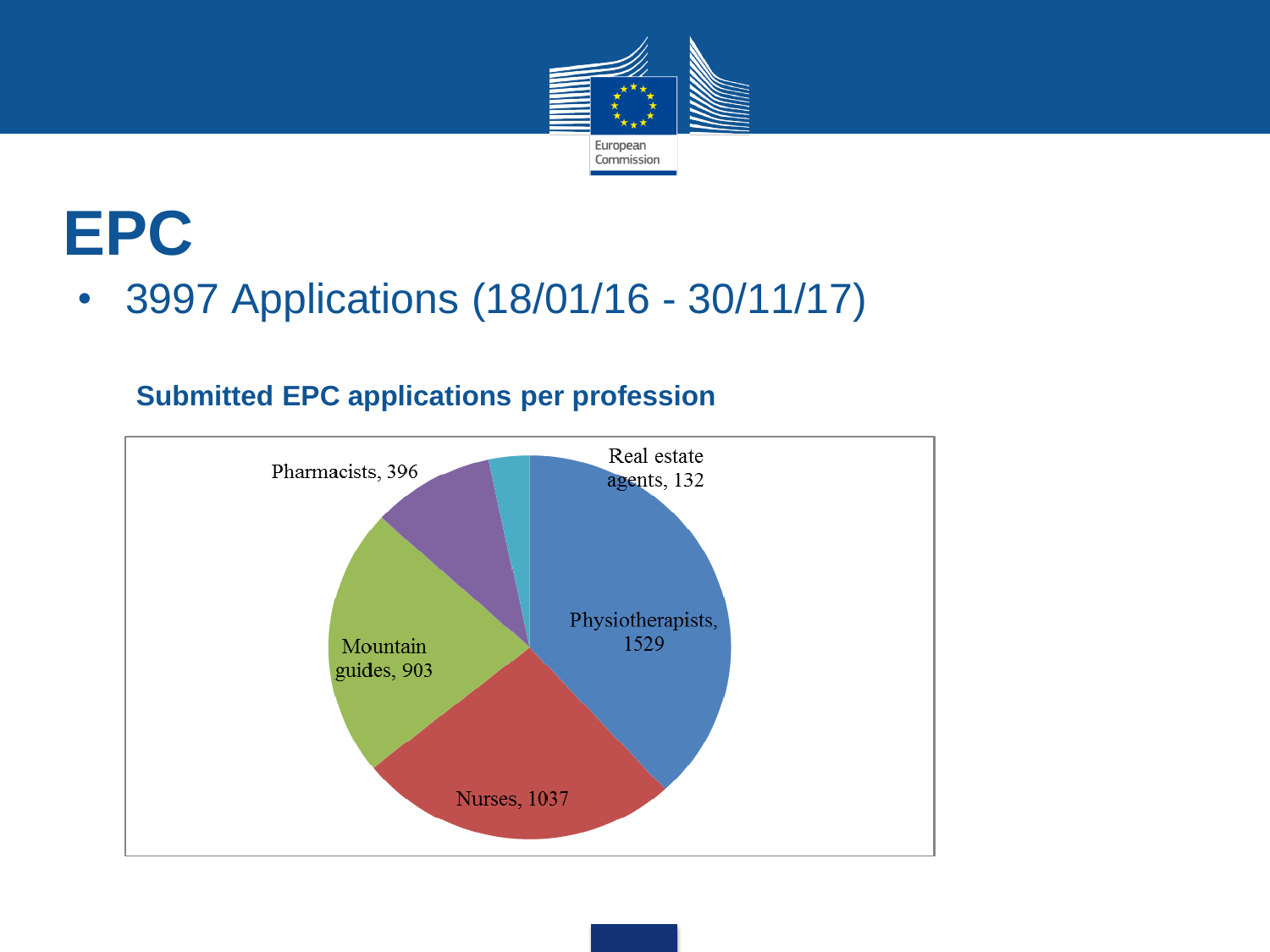

#### **EPC**

• 3997 Applications (18/01/16 - 30/11/17)

#### **Submitted EPC applications per profession**

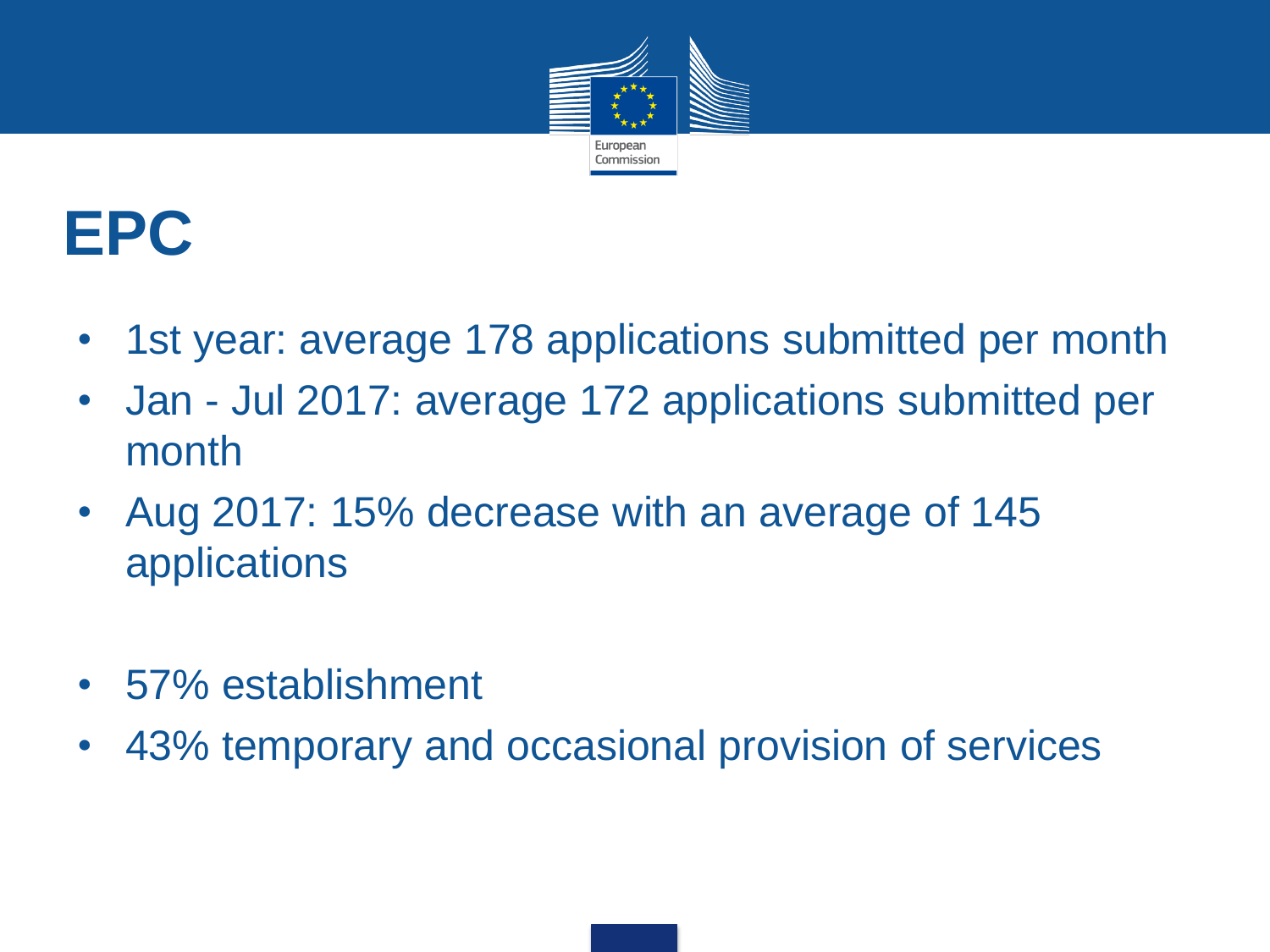

### **EPC**

- 1st year: average 178 applications submitted per month
- Jan Jul 2017: average 172 applications submitted per month
- Aug 2017: 15% decrease with an average of 145 applications
- 57% establishment
- 43% temporary and occasional provision of services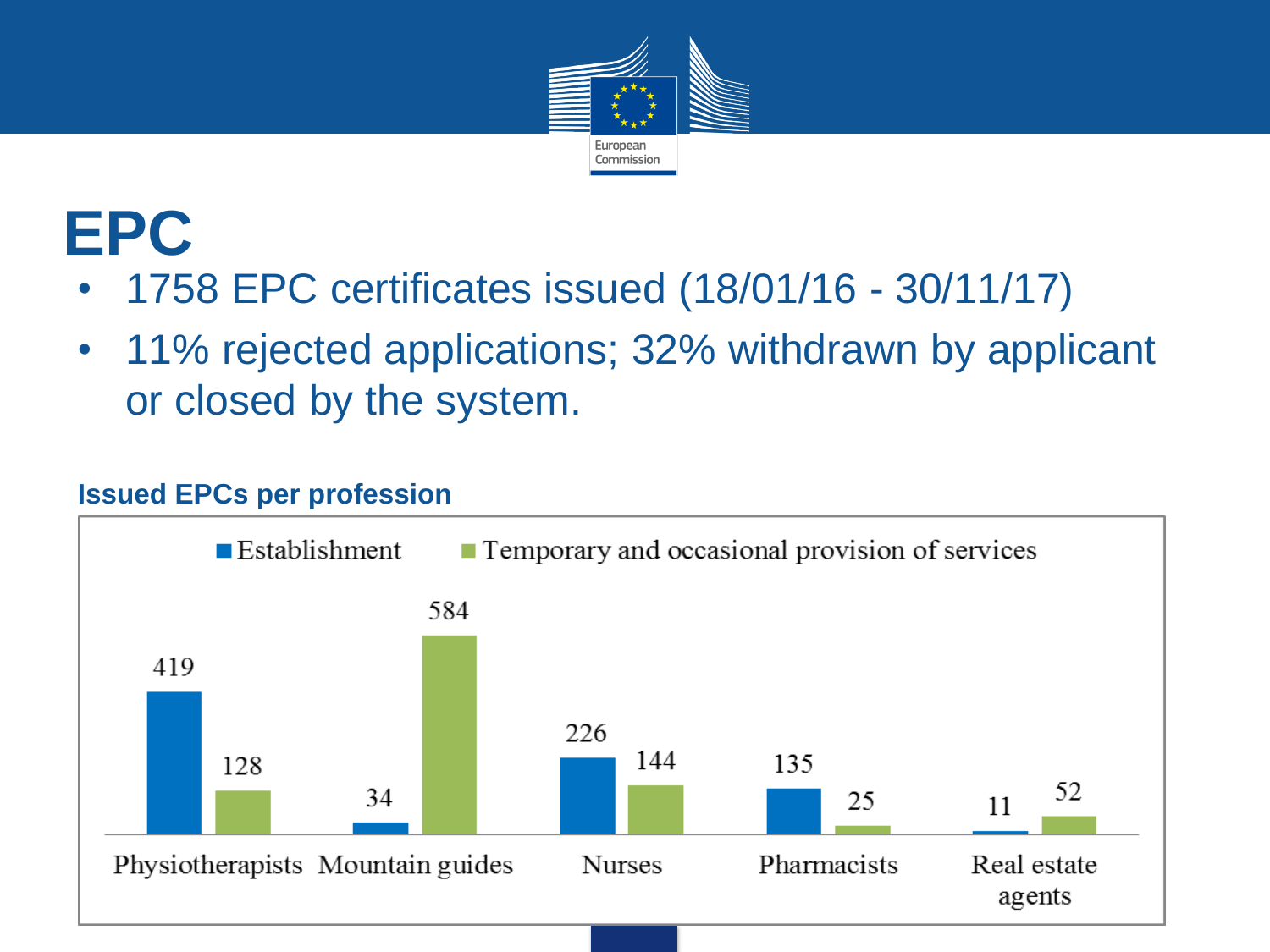

## **EPC**

- 1758 EPC certificates issued (18/01/16 30/11/17)
- 11% rejected applications; 32% withdrawn by applicant or closed by the system.

#### **Issued EPCs per profession**

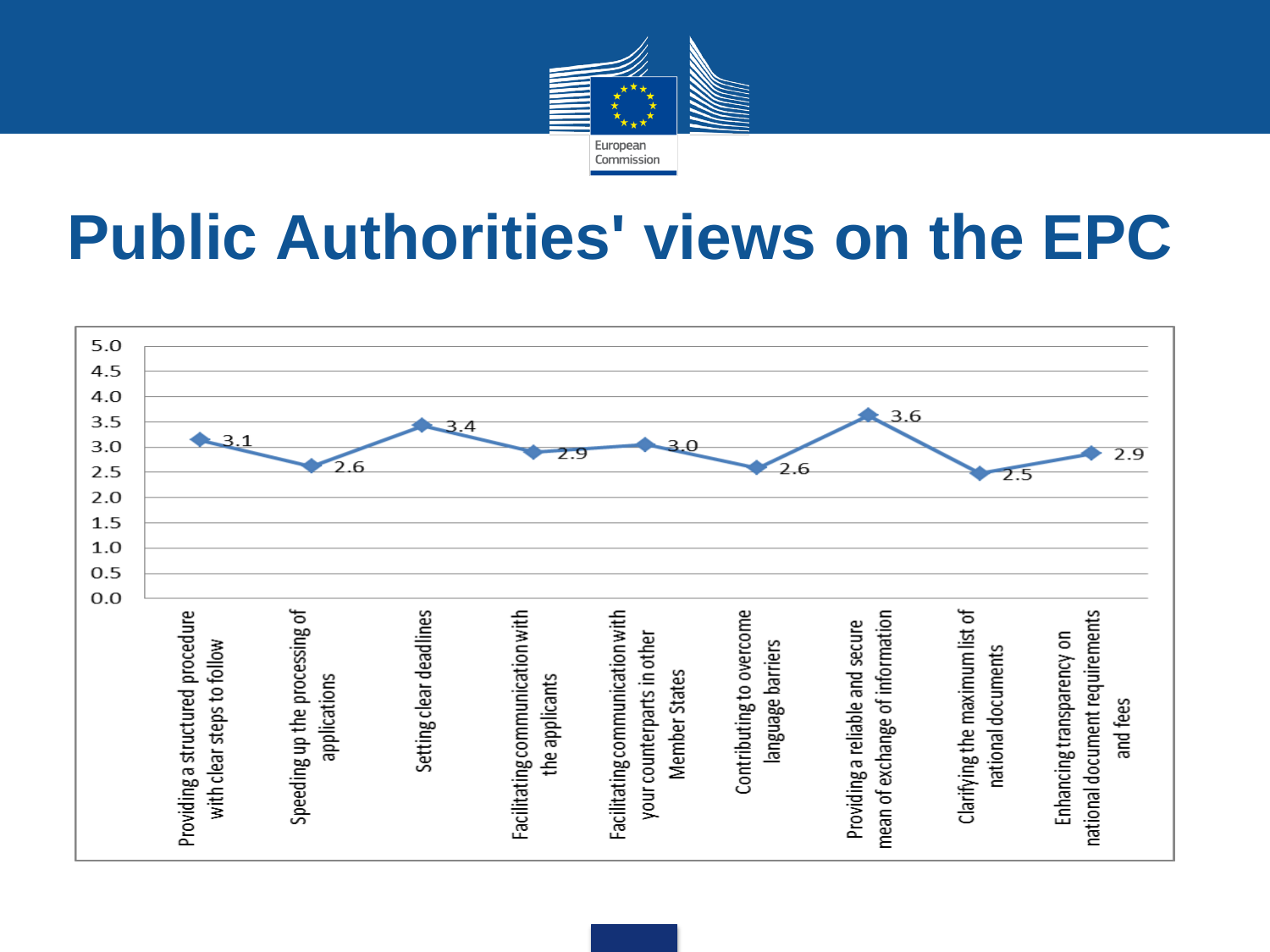

#### **Public Authorities' views on the EPC**

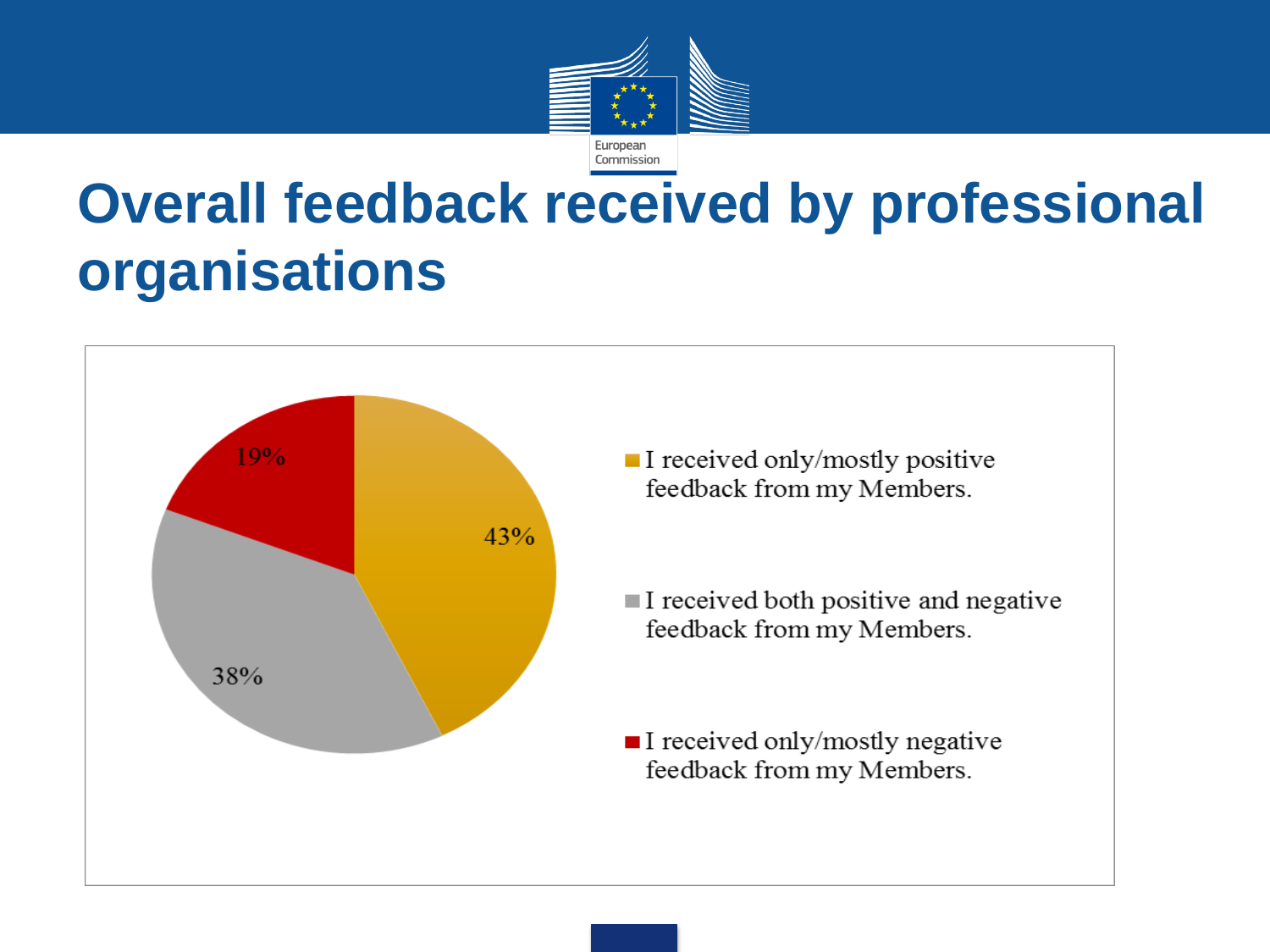

#### **Overall feedback received by professional organisations**



- $\blacksquare$  I received only/mostly positive feedback from my Members.
- $\blacksquare$  I received both positive and negative feedback from my Members.
- $\blacksquare$  I received only/mostly negative feedback from my Members.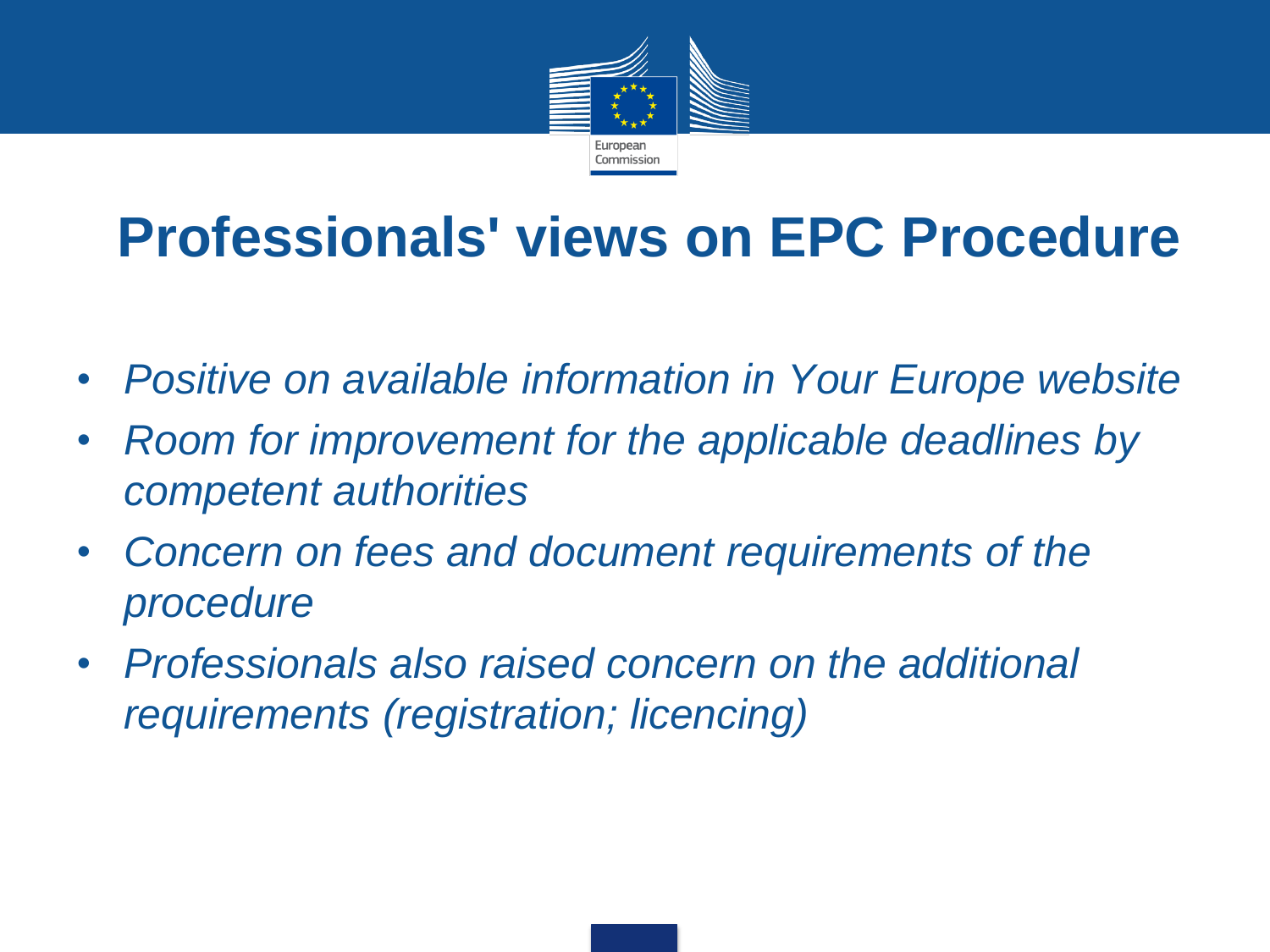

#### **Professionals' views on EPC Procedure**

- *Positive on available information in Your Europe website*
- *Room for improvement for the applicable deadlines by competent authorities*
- *Concern on fees and document requirements of the procedure*
- *Professionals also raised concern on the additional requirements (registration; licencing)*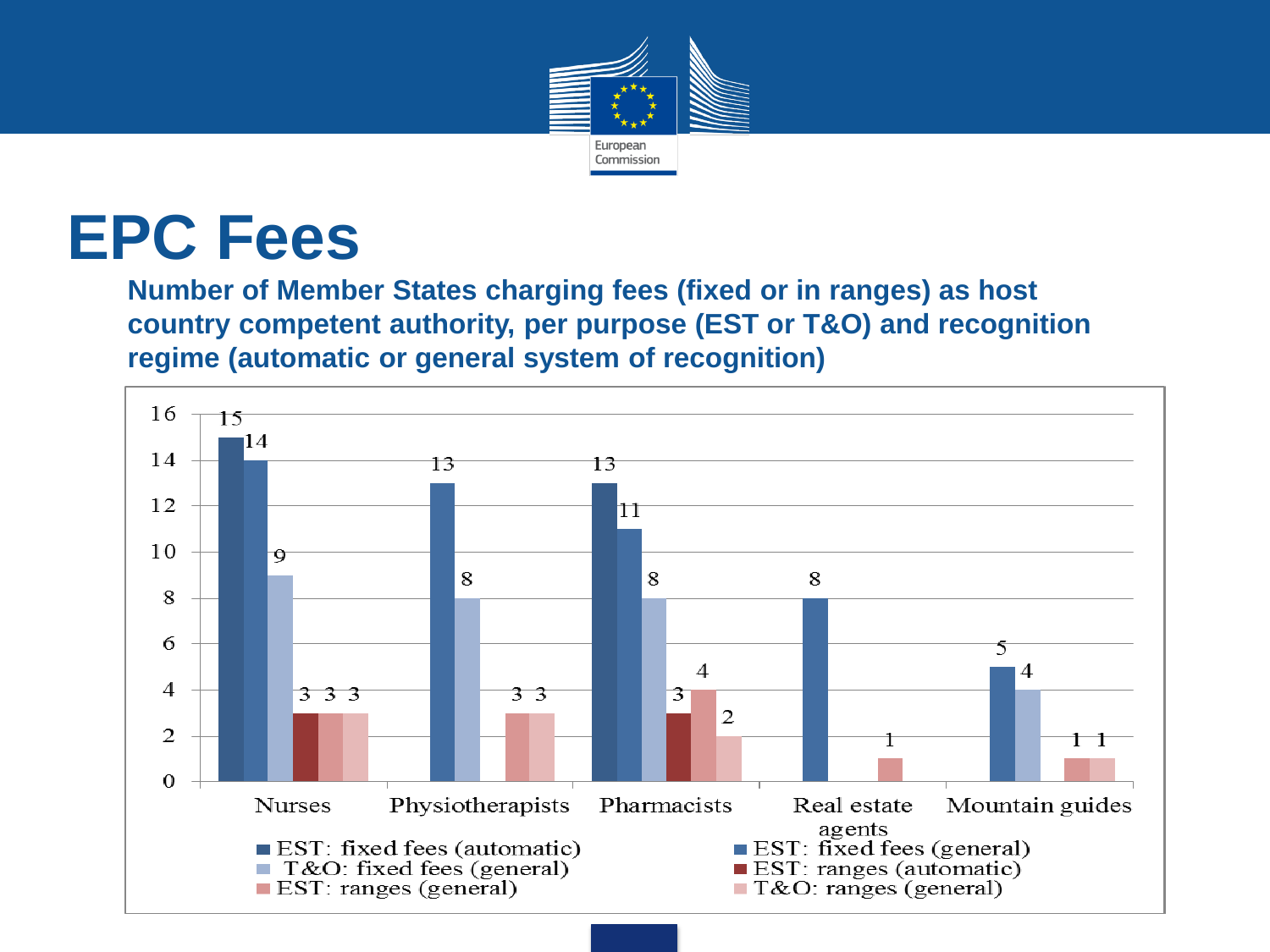

#### **EPC Fees**

**Number of Member States charging fees (fixed or in ranges) as host country competent authority, per purpose (EST or T&O) and recognition regime (automatic or general system of recognition)**

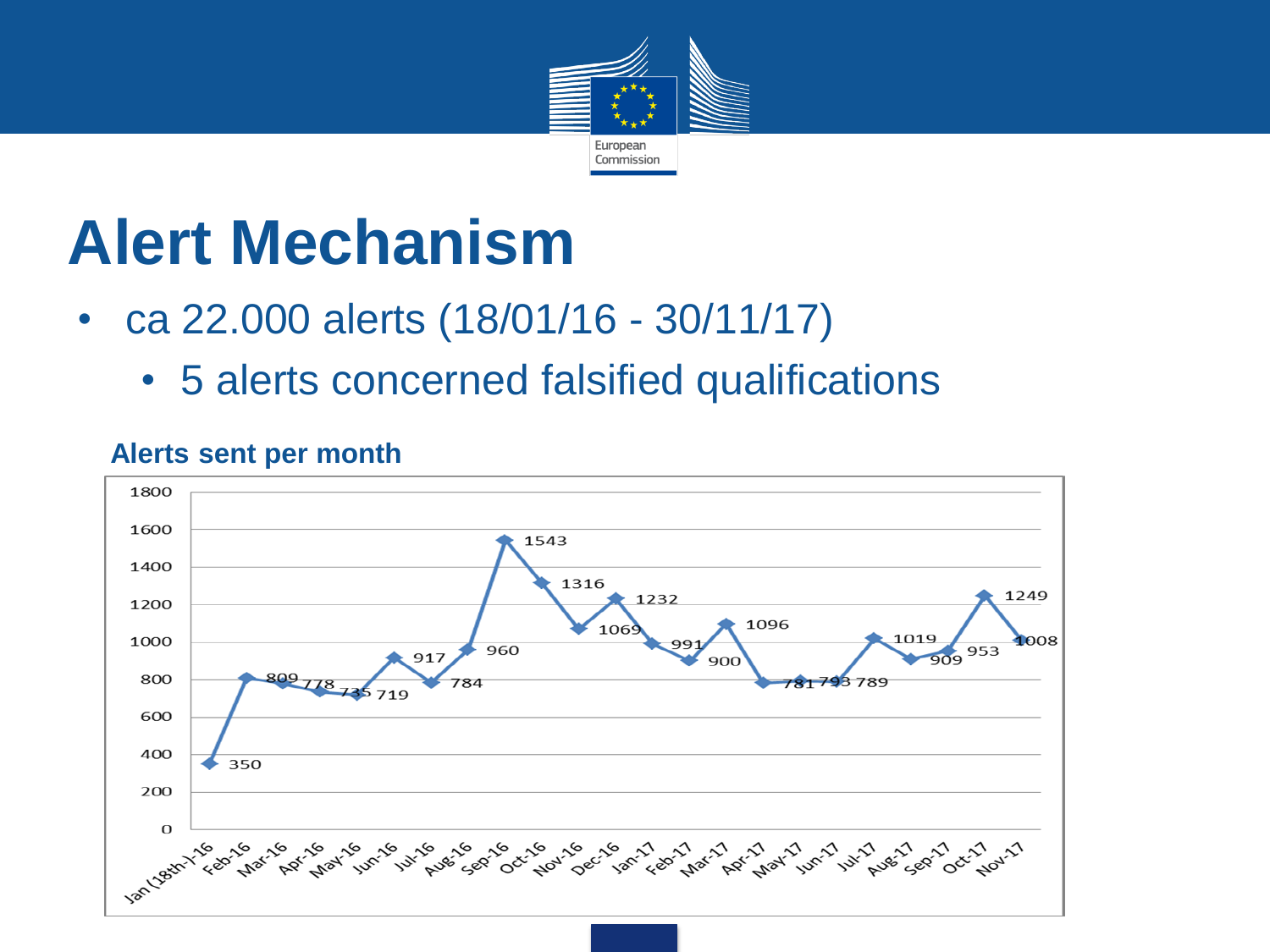

### **Alert Mechanism**

- ca 22.000 alerts (18/01/16 30/11/17)
	- 5 alerts concerned falsified qualifications



#### **Alerts sent per month**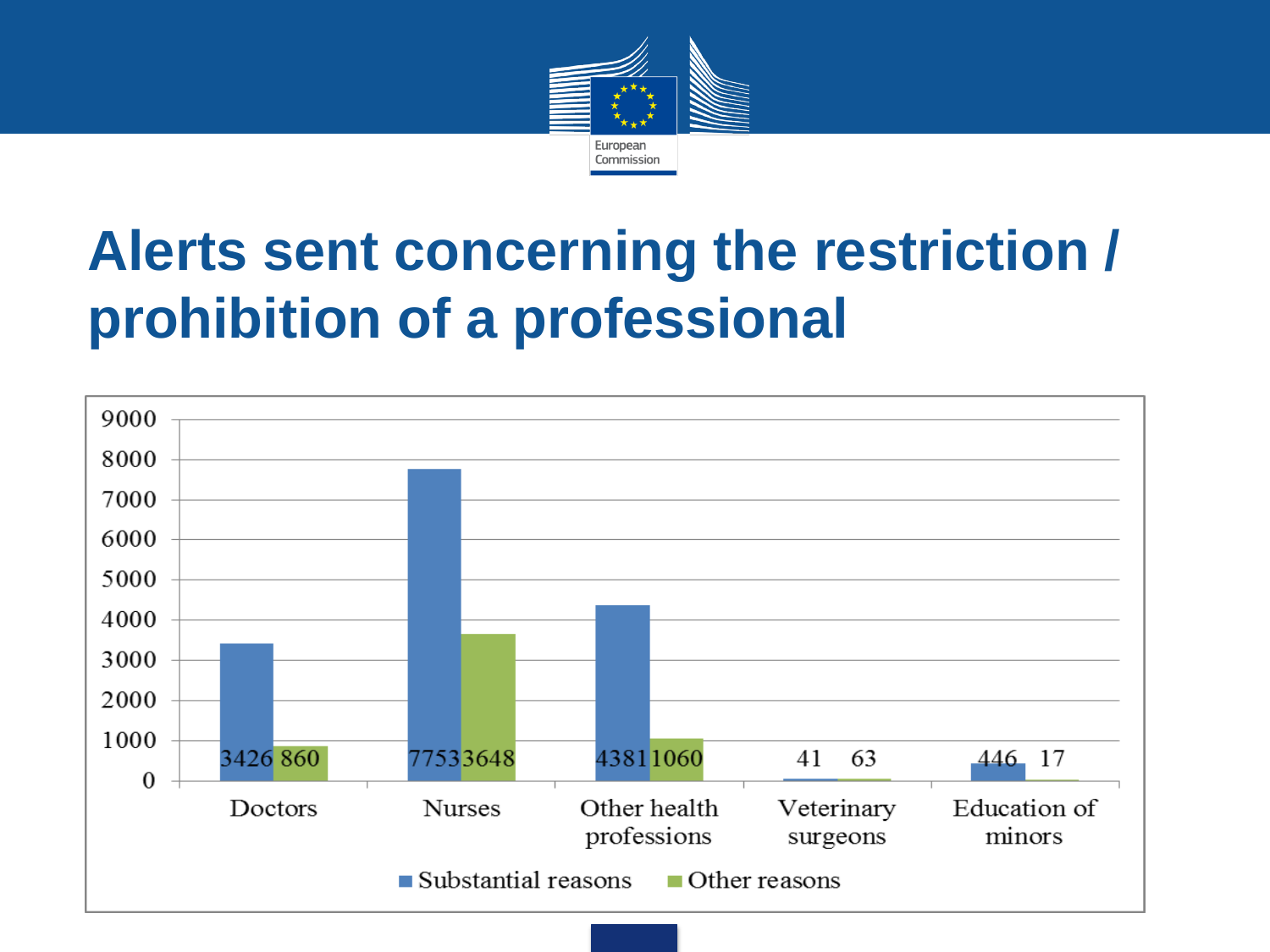

#### **Alerts sent concerning the restriction / prohibition of a professional**

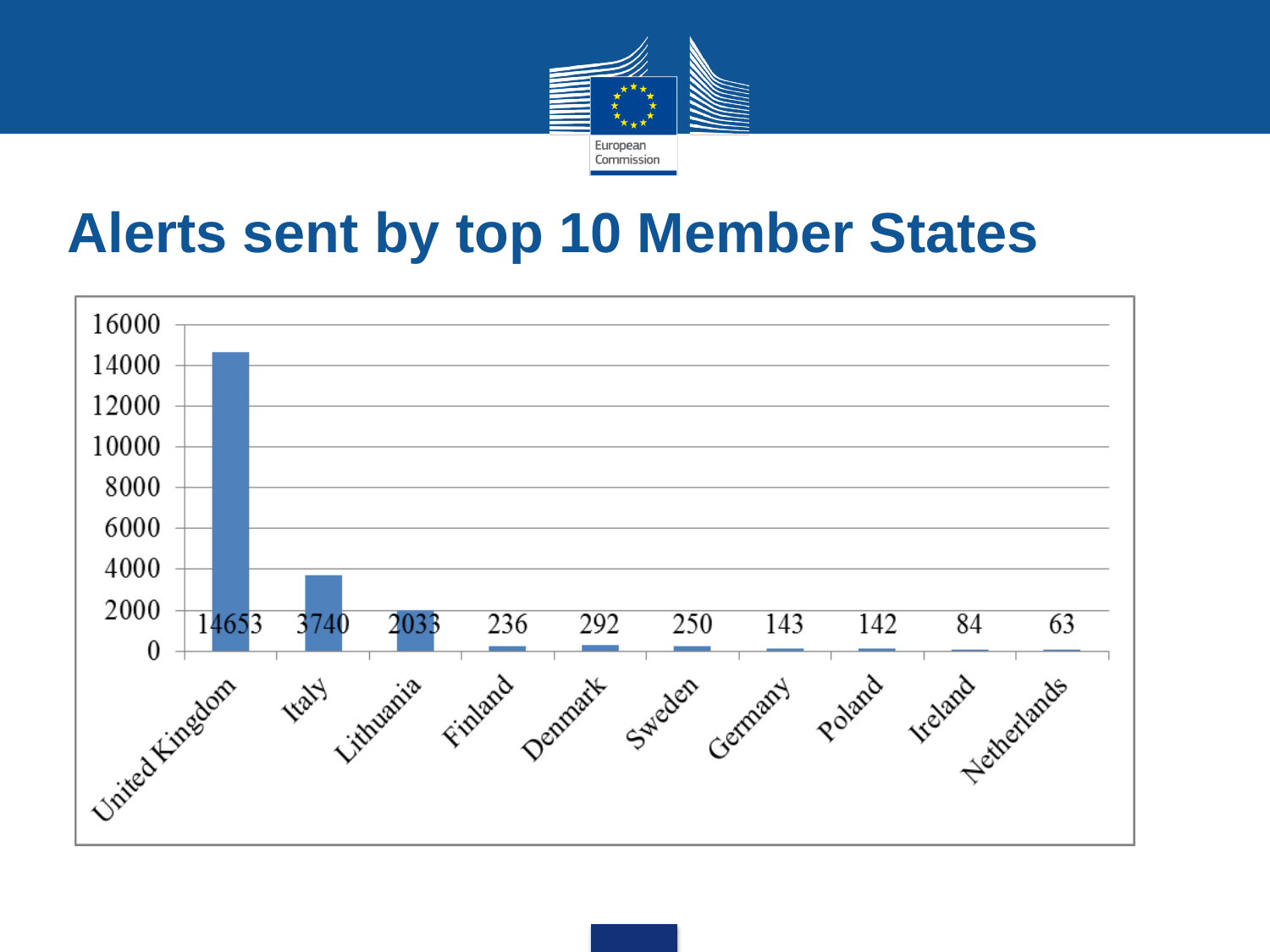

#### **Alerts sent by top 10 Member States**

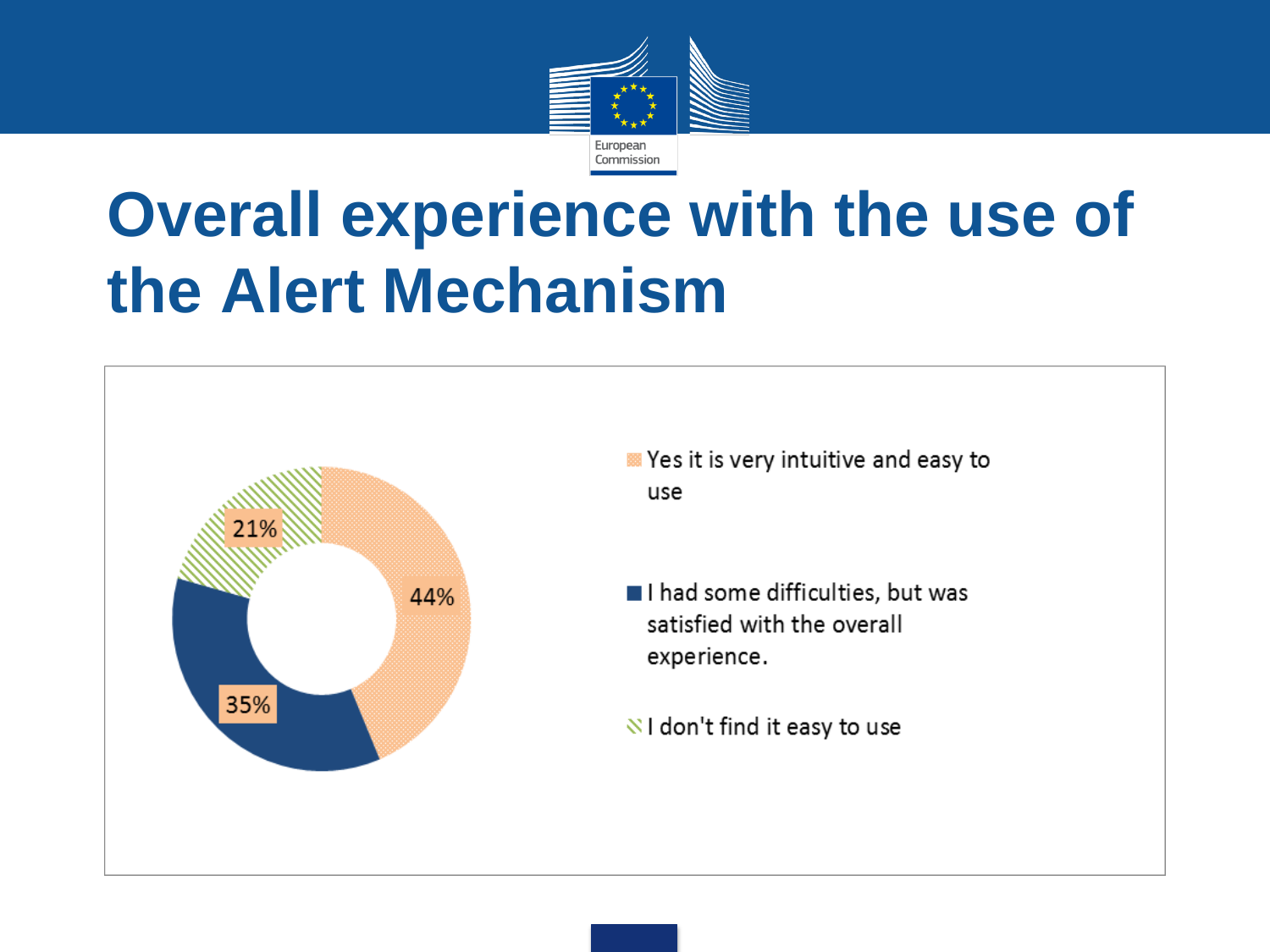

## **Overall experience with the use of the Alert Mechanism**



- **Yes it is very intuitive and easy to** use
- I had some difficulties, but was satisfied with the overall experience.
- $\sqrt{8}$  I don't find it easy to use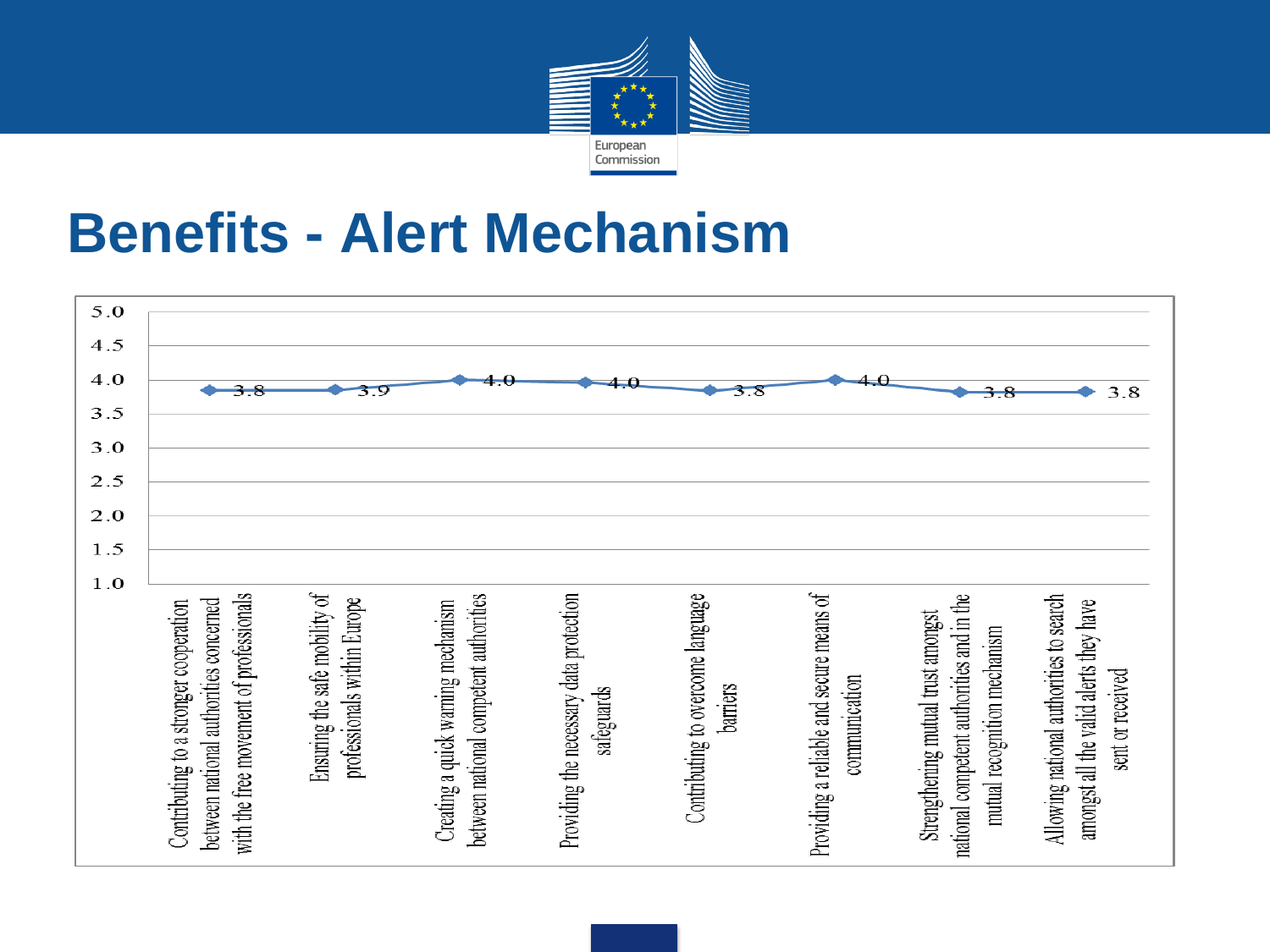

#### **Benefits - Alert Mechanism**